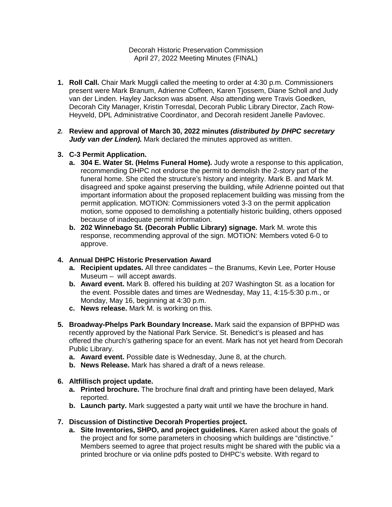Decorah Historic Preservation Commission April 27, 2022 Meeting Minutes (FINAL)

- **1. Roll Call.** Chair Mark Muggli called the meeting to order at 4:30 p.m. Commissioners present were Mark Branum, Adrienne Coffeen, Karen Tjossem, Diane Scholl and Judy van der Linden. Hayley Jackson was absent. Also attending were Travis Goedken, Decorah City Manager, Kristin Torresdal, Decorah Public Library Director, Zach Row-Heyveld, DPL Administrative Coordinator, and Decorah resident Janelle Pavlovec.
- *2.* **Review and approval of March 30, 2022 minutes** *(distributed by DHPC secretary*  Judy van der Linden). Mark declared the minutes approved as written.
- **3. C-3 Permit Application.**
	- **a. 304 E. Water St. (Helms Funeral Home).** Judy wrote a response to this application, recommending DHPC not endorse the permit to demolish the 2-story part of the funeral home. She cited the structure's history and integrity. Mark B. and Mark M. disagreed and spoke against preserving the building, while Adrienne pointed out that important information about the proposed replacement building was missing from the permit application. MOTION: Commissioners voted 3-3 on the permit application motion, some opposed to demolishing a potentially historic building, others opposed because of inadequate permit information.
	- **b. 202 Winnebago St. (Decorah Public Library) signage.** Mark M. wrote this response, recommending approval of the sign. MOTION: Members voted 6-0 to approve.

#### **4. Annual DHPC Historic Preservation Award**

- **a. Recipient updates.** All three candidates the Branums, Kevin Lee, Porter House Museum – will accept awards.
- **b. Award event.** Mark B. offered his building at 207 Washington St. as a location for the event. Possible dates and times are Wednesday, May 11, 4:15-5:30 p.m., or Monday, May 16, beginning at 4:30 p.m.
- **c. News release.** Mark M. is working on this.
- **5. Broadway-Phelps Park Boundary Increase.** Mark said the expansion of BPPHD was recently approved by the National Park Service. St. Benedict's is pleased and has offered the church's gathering space for an event. Mark has not yet heard from Decorah Public Library.
	- **a. Award event.** Possible date is Wednesday, June 8, at the church.
	- **b. News Release.** Mark has shared a draft of a news release.

#### **6. Altfillisch project update.**

- **a. Printed brochure.** The brochure final draft and printing have been delayed, Mark reported.
- **b. Launch party.** Mark suggested a party wait until we have the brochure in hand.

#### **7. Discussion of Distinctive Decorah Properties project.**

**a. Site Inventories, SHPO, and project guidelines.** Karen asked about the goals of the project and for some parameters in choosing which buildings are "distinctive." Members seemed to agree that project results might be shared with the public via a printed brochure or via online pdfs posted to DHPC's website. With regard to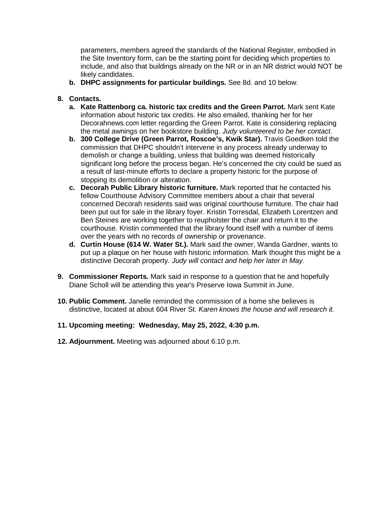parameters, members agreed the standards of the National Register, embodied in the Site Inventory form, can be the starting point for deciding which properties to include, and also that buildings already on the NR or in an NR district would NOT be likely candidates.

**b. DHPC assignments for particular buildings.** See 8d. and 10 below.

### **8. Contacts.**

- **a. Kate Rattenborg ca. historic tax credits and the Green Parrot.** Mark sent Kate information about historic tax credits. He also emailed, thanking her for her Decorahnews.com letter regarding the Green Parrot. Kate is considering replacing the metal awnings on her bookstore building. *Judy volunteered to be her contact.*
- **b. 300 College Drive (Green Parrot, Roscoe's, Kwik Star).** Travis Goedken told the commission that DHPC shouldn't intervene in any process already underway to demolish or change a building, unless that building was deemed historically significant long before the process began. He's concerned the city could be sued as a result of last-minute efforts to declare a property historic for the purpose of stopping its demolition or alteration.
- **c. Decorah Public Library historic furniture.** Mark reported that he contacted his fellow Courthouse Advisory Committee members about a chair that several concerned Decorah residents said was original courthouse furniture. The chair had been put out for sale in the library foyer. Kristin Torresdal, Elizabeth Lorentzen and Ben Steines are working together to reupholster the chair and return it to the courthouse. Kristin commented that the library found itself with a number of items over the years with no records of ownership or provenance.
- **d. Curtin House (614 W. Water St.).** Mark said the owner, Wanda Gardner, wants to put up a plaque on her house with historic information. Mark thought this might be a distinctive Decorah property. *Judy will contact and help her later in May.*
- **9. Commissioner Reports.** Mark said in response to a question that he and hopefully Diane Scholl will be attending this year's Preserve Iowa Summit in June.
- **10. Public Comment.** Janelle reminded the commission of a home she believes is distinctive, located at about 604 River St. *Karen knows the house and will research it.*
- **11. Upcoming meeting: Wednesday, May 25, 2022, 4:30 p.m.**
- **12. Adjournment.** Meeting was adjourned about 6:10 p.m.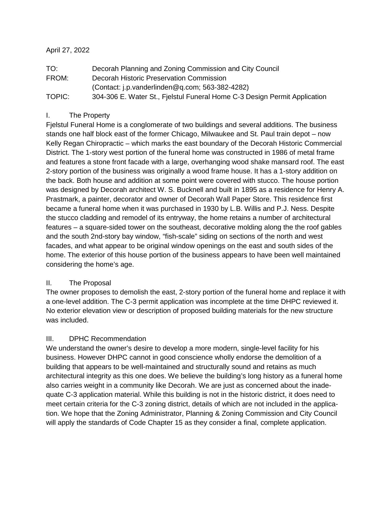### April 27, 2022

| TO:    | Decorah Planning and Zoning Commission and City Council                   |
|--------|---------------------------------------------------------------------------|
| FROM:  | Decorah Historic Preservation Commission                                  |
|        | (Contact: j.p. vanderlinden $@$ q.com; 563-382-4282)                      |
| TOPIC: | 304-306 E. Water St., Fjelstul Funeral Home C-3 Design Permit Application |

## I. The Property

Fjelstul Funeral Home is a conglomerate of two buildings and several additions. The business stands one half block east of the former Chicago, Milwaukee and St. Paul train depot – now Kelly Regan Chiropractic – which marks the east boundary of the Decorah Historic Commercial District. The 1-story west portion of the funeral home was constructed in 1986 of metal frame and features a stone front facade with a large, overhanging wood shake mansard roof. The east 2-story portion of the business was originally a wood frame house. It has a 1-story addition on the back. Both house and addition at some point were covered with stucco. The house portion was designed by Decorah architect W. S. Bucknell and built in 1895 as a residence for Henry A. Prastmark, a painter, decorator and owner of Decorah Wall Paper Store. This residence first became a funeral home when it was purchased in 1930 by L.B. Willis and P.J. Ness. Despite the stucco cladding and remodel of its entryway, the home retains a number of architectural features – a square-sided tower on the southeast, decorative molding along the the roof gables and the south 2nd-story bay window, "fish-scale" siding on sections of the north and west facades, and what appear to be original window openings on the east and south sides of the home. The exterior of this house portion of the business appears to have been well maintained considering the home's age.

### II. The Proposal

The owner proposes to demolish the east, 2-story portion of the funeral home and replace it with a one-level addition. The C-3 permit application was incomplete at the time DHPC reviewed it. No exterior elevation view or description of proposed building materials for the new structure was included.

## III. DPHC Recommendation

We understand the owner's desire to develop a more modern, single-level facility for his business. However DHPC cannot in good conscience wholly endorse the demolition of a building that appears to be well-maintained and structurally sound and retains as much architectural integrity as this one does. We believe the building's long history as a funeral home also carries weight in a community like Decorah. We are just as concerned about the inadequate C-3 application material. While this building is not in the historic district, it does need to meet certain criteria for the C-3 zoning district, details of which are not included in the application. We hope that the Zoning Administrator, Planning & Zoning Commission and City Council will apply the standards of Code Chapter 15 as they consider a final, complete application.